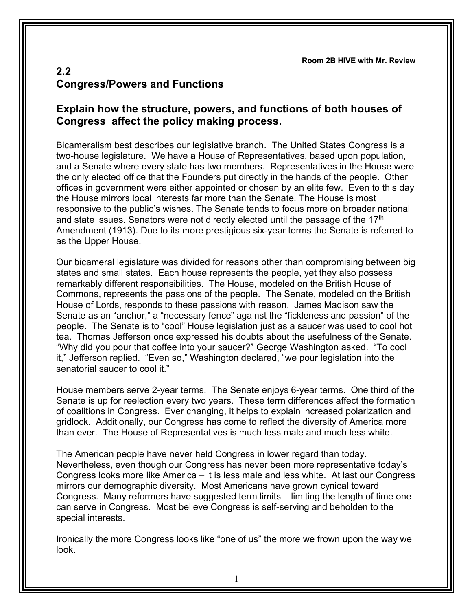**Room 2B HIVE with Mr. Review**

## **2.2 Congress/Powers and Functions**

## **Explain how the structure, powers, and functions of both houses of Congress affect the policy making process.**

Bicameralism best describes our legislative branch. The United States Congress is a two-house legislature. We have a House of Representatives, based upon population, and a Senate where every state has two members. Representatives in the House were the only elected office that the Founders put directly in the hands of the people. Other offices in government were either appointed or chosen by an elite few. Even to this day the House mirrors local interests far more than the Senate. The House is most responsive to the public's wishes. The Senate tends to focus more on broader national and state issues. Senators were not directly elected until the passage of the  $17<sup>th</sup>$ Amendment (1913). Due to its more prestigious six-year terms the Senate is referred to as the Upper House.

Our bicameral legislature was divided for reasons other than compromising between big states and small states. Each house represents the people, yet they also possess remarkably different responsibilities. The House, modeled on the British House of Commons, represents the passions of the people. The Senate, modeled on the British House of Lords, responds to these passions with reason. James Madison saw the Senate as an "anchor," a "necessary fence" against the "fickleness and passion" of the people. The Senate is to "cool" House legislation just as a saucer was used to cool hot tea. Thomas Jefferson once expressed his doubts about the usefulness of the Senate. "Why did you pour that coffee into your saucer?" George Washington asked. "To cool it," Jefferson replied. "Even so," Washington declared, "we pour legislation into the senatorial saucer to cool it."

House members serve 2-year terms. The Senate enjoys 6-year terms. One third of the Senate is up for reelection every two years. These term differences affect the formation of coalitions in Congress. Ever changing, it helps to explain increased polarization and gridlock. Additionally, our Congress has come to reflect the diversity of America more than ever. The House of Representatives is much less male and much less white.

The American people have never held Congress in lower regard than today. Nevertheless, even though our Congress has never been more representative today's Congress looks more like America – it is less male and less white. At last our Congress mirrors our demographic diversity. Most Americans have grown cynical toward Congress. Many reformers have suggested term limits – limiting the length of time one can serve in Congress. Most believe Congress is self-serving and beholden to the special interests.

Ironically the more Congress looks like "one of us" the more we frown upon the way we look.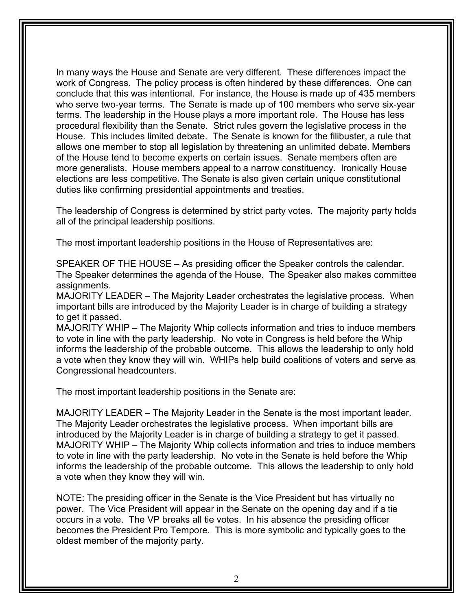In many ways the House and Senate are very different. These differences impact the work of Congress. The policy process is often hindered by these differences. One can conclude that this was intentional. For instance, the House is made up of 435 members who serve two-year terms. The Senate is made up of 100 members who serve six-year terms. The leadership in the House plays a more important role. The House has less procedural flexibility than the Senate. Strict rules govern the legislative process in the House. This includes limited debate. The Senate is known for the filibuster, a rule that allows one member to stop all legislation by threatening an unlimited debate. Members of the House tend to become experts on certain issues. Senate members often are more generalists. House members appeal to a narrow constituency. Ironically House elections are less competitive. The Senate is also given certain unique constitutional duties like confirming presidential appointments and treaties.

The leadership of Congress is determined by strict party votes. The majority party holds all of the principal leadership positions.

The most important leadership positions in the House of Representatives are:

SPEAKER OF THE HOUSE – As presiding officer the Speaker controls the calendar. The Speaker determines the agenda of the House. The Speaker also makes committee assignments.

MAJORITY LEADER – The Majority Leader orchestrates the legislative process. When important bills are introduced by the Majority Leader is in charge of building a strategy to get it passed.

MAJORITY WHIP – The Majority Whip collects information and tries to induce members to vote in line with the party leadership. No vote in Congress is held before the Whip informs the leadership of the probable outcome. This allows the leadership to only hold a vote when they know they will win. WHIPs help build coalitions of voters and serve as Congressional headcounters.

The most important leadership positions in the Senate are:

MAJORITY LEADER – The Majority Leader in the Senate is the most important leader. The Majority Leader orchestrates the legislative process. When important bills are introduced by the Majority Leader is in charge of building a strategy to get it passed. MAJORITY WHIP – The Majority Whip collects information and tries to induce members to vote in line with the party leadership. No vote in the Senate is held before the Whip informs the leadership of the probable outcome. This allows the leadership to only hold a vote when they know they will win.

NOTE: The presiding officer in the Senate is the Vice President but has virtually no power. The Vice President will appear in the Senate on the opening day and if a tie occurs in a vote. The VP breaks all tie votes. In his absence the presiding officer becomes the President Pro Tempore. This is more symbolic and typically goes to the oldest member of the majority party.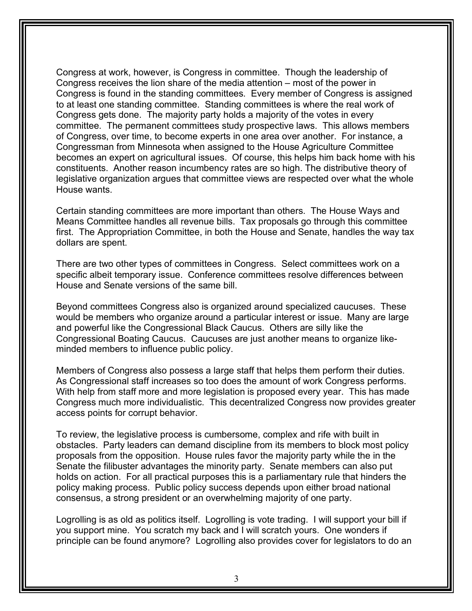Congress at work, however, is Congress in committee. Though the leadership of Congress receives the lion share of the media attention – most of the power in Congress is found in the standing committees. Every member of Congress is assigned to at least one standing committee. Standing committees is where the real work of Congress gets done. The majority party holds a majority of the votes in every committee. The permanent committees study prospective laws. This allows members of Congress, over time, to become experts in one area over another. For instance, a Congressman from Minnesota when assigned to the House Agriculture Committee becomes an expert on agricultural issues. Of course, this helps him back home with his constituents. Another reason incumbency rates are so high. The distributive theory of legislative organization argues that committee views are respected over what the whole House wants.

Certain standing committees are more important than others. The House Ways and Means Committee handles all revenue bills. Tax proposals go through this committee first. The Appropriation Committee, in both the House and Senate, handles the way tax dollars are spent.

There are two other types of committees in Congress. Select committees work on a specific albeit temporary issue. Conference committees resolve differences between House and Senate versions of the same bill.

Beyond committees Congress also is organized around specialized caucuses. These would be members who organize around a particular interest or issue. Many are large and powerful like the Congressional Black Caucus. Others are silly like the Congressional Boating Caucus. Caucuses are just another means to organize likeminded members to influence public policy.

Members of Congress also possess a large staff that helps them perform their duties. As Congressional staff increases so too does the amount of work Congress performs. With help from staff more and more legislation is proposed every year. This has made Congress much more individualistic. This decentralized Congress now provides greater access points for corrupt behavior.

To review, the legislative process is cumbersome, complex and rife with built in obstacles. Party leaders can demand discipline from its members to block most policy proposals from the opposition. House rules favor the majority party while the in the Senate the filibuster advantages the minority party. Senate members can also put holds on action. For all practical purposes this is a parliamentary rule that hinders the policy making process. Public policy success depends upon either broad national consensus, a strong president or an overwhelming majority of one party.

Logrolling is as old as politics itself. Logrolling is vote trading. I will support your bill if you support mine. You scratch my back and I will scratch yours. One wonders if principle can be found anymore? Logrolling also provides cover for legislators to do an